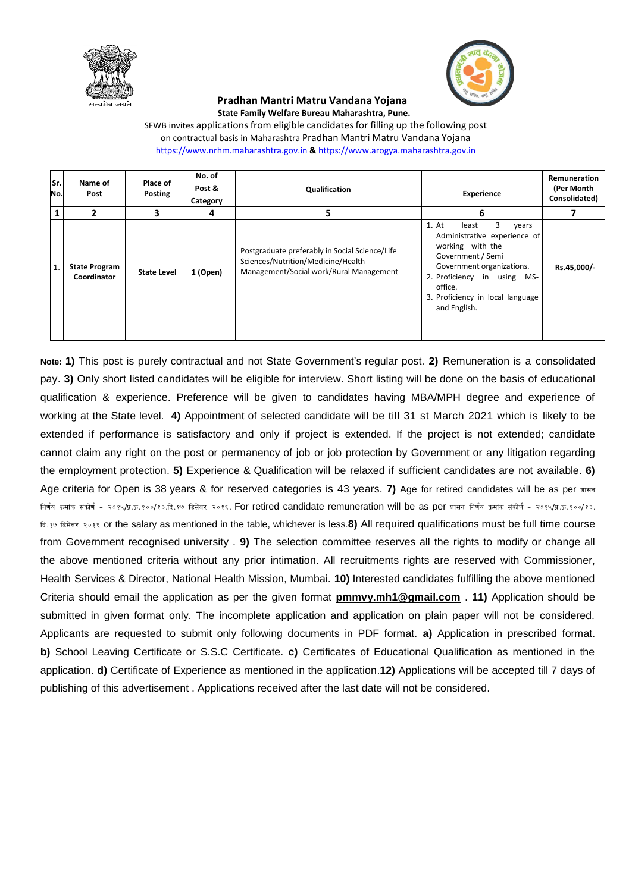



## **Pradhan Mantri Matru Vandana Yojana State Family Welfare Bureau Maharashtra, Pune.**

SFWB invites applications from eligible candidates for filling up the following post on contractual basis in Maharashtra Pradhan Mantri Matru Vandana Yojana [https://www.nrhm.maharashtra.gov.in](https://www.nrhm.maharashtra.gov.in/) **&** [https://www.arogya.maharashtra.gov.in](https://www.arogya.maharashtra.gov.in/)

| Sr.<br>No.   | Name of<br>Post                     | Place of<br>Posting | No. of<br>Post &<br>Category | Qualification                                                                                                                   | <b>Experience</b>                                                                                                                                                                                                                | <b>Remuneration</b><br>(Per Month<br>Consolidated) |
|--------------|-------------------------------------|---------------------|------------------------------|---------------------------------------------------------------------------------------------------------------------------------|----------------------------------------------------------------------------------------------------------------------------------------------------------------------------------------------------------------------------------|----------------------------------------------------|
|              | 2                                   | 3                   | 4                            | 5                                                                                                                               | 6                                                                                                                                                                                                                                |                                                    |
| $\mathbf{1}$ | <b>State Program</b><br>Coordinator | <b>State Level</b>  | 1 (Open)                     | Postgraduate preferably in Social Science/Life<br>Sciences/Nutrition/Medicine/Health<br>Management/Social work/Rural Management | 3<br>1. At<br>least<br>vears<br>Administrative experience of<br>working with the<br>Government / Semi<br>Government organizations.<br>2. Proficiency in using MS-<br>office.<br>3. Proficiency in local language<br>and English. | Rs.45,000/-                                        |

**Note: 1)** This post is purely contractual and not State Government's regular post. **2)** Remuneration is a consolidated pay. **3)** Only short listed candidates will be eligible for interview. Short listing will be done on the basis of educational qualification & experience. Preference will be given to candidates having MBA/MPH degree and experience of working at the State level. **4)** Appointment of selected candidate will be till 31 st March 2021 which is likely to be extended if performance is satisfactory and only if project is extended. If the project is not extended; candidate cannot claim any right on the post or permanency of job or job protection by Government or any litigation regarding the employment protection. **5)** Experience & Qualification will be relaxed if sufficient candidates are not available. **6)** Age criteria for Open is 38 years & for reserved categories is 43 years. **7)** Age for retired candidates will be as per  $\pi$ RFF निर्णय क्रमांक संकीर्ण - २७१५/प्र.क.१००/१३.दि.१७ डिसेंबर २०१६. For retired candidate remuneration will be as per जासन निर्णय क्रमांक संकीर्ण - २७१५/प्र.क.१००/१३. दि.१७ डिसेंबर २०१६ or the salary as mentioned in the table, whichever is less.**8)** All required qualifications must be full time course from Government recognised university . **9)** The selection committee reserves all the rights to modify or change all the above mentioned criteria without any prior intimation. All recruitments rights are reserved with Commissioner, Health Services & Director, National Health Mission, Mumbai. **10)** Interested candidates fulfilling the above mentioned Criteria should email the application as per the given format **pmmvy.mh1@gmail.com** . **11)** Application should be submitted in given format only. The incomplete application and application on plain paper will not be considered. Applicants are requested to submit only following documents in PDF format. **a)** Application in prescribed format. **b)** School Leaving Certificate or S.S.C Certificate. **c)** Certificates of Educational Qualification as mentioned in the application. **d)** Certificate of Experience as mentioned in the application.**12)** Applications will be accepted till 7 days of publishing of this advertisement . Applications received after the last date will not be considered.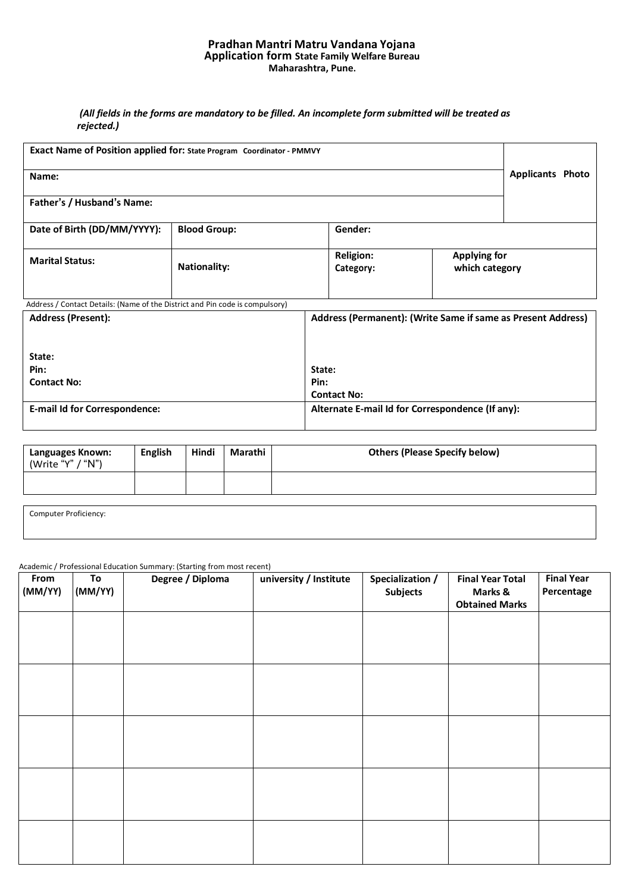## **Pradhan Mantri Matru Vandana Yojana Application form State Family Welfare Bureau Maharashtra, Pune.**

# *(All fields in the forms are mandatory to be filled. An incomplete form submitted will be treated as rejected.)*

| Exact Name of Position applied for: State Program Coordinator - PMMVY        |                         |                               |                                                              |  |
|------------------------------------------------------------------------------|-------------------------|-------------------------------|--------------------------------------------------------------|--|
| Name:                                                                        | <b>Applicants Photo</b> |                               |                                                              |  |
| Father's / Husband's Name:                                                   |                         |                               |                                                              |  |
| Date of Birth (DD/MM/YYYY):                                                  | <b>Blood Group:</b>     | Gender:                       |                                                              |  |
| <b>Marital Status:</b>                                                       | <b>Nationality:</b>     | <b>Religion:</b><br>Category: | <b>Applying for</b><br>which category                        |  |
| Address / Contact Details: (Name of the District and Pin code is compulsory) |                         |                               |                                                              |  |
| <b>Address (Present):</b>                                                    |                         |                               | Address (Permanent): (Write Same if same as Present Address) |  |
| State:                                                                       |                         |                               |                                                              |  |
| Pin:                                                                         |                         | State:                        |                                                              |  |
| <b>Contact No:</b>                                                           |                         | Pin:                          |                                                              |  |
|                                                                              |                         | <b>Contact No:</b>            |                                                              |  |
| <b>E-mail Id for Correspondence:</b>                                         |                         |                               | Alternate E-mail Id for Correspondence (If any):             |  |

| Languages Known:<br>(Write "Y" / "N") | <b>English</b> | Hindi | Marathi | <b>Others (Please Specify below)</b> |
|---------------------------------------|----------------|-------|---------|--------------------------------------|
|                                       |                |       |         |                                      |

Computer Proficiency:

#### Academic / Professional Education Summary: (Starting from most recent)

| From<br>(MM/YY) | To<br>(MM/YY) | Degree / Diploma | university / Institute | Specialization /<br><b>Subjects</b> | <b>Final Year Total</b><br>Marks &<br><b>Obtained Marks</b> | <b>Final Year</b><br>Percentage |
|-----------------|---------------|------------------|------------------------|-------------------------------------|-------------------------------------------------------------|---------------------------------|
|                 |               |                  |                        |                                     |                                                             |                                 |
|                 |               |                  |                        |                                     |                                                             |                                 |
|                 |               |                  |                        |                                     |                                                             |                                 |
|                 |               |                  |                        |                                     |                                                             |                                 |
|                 |               |                  |                        |                                     |                                                             |                                 |